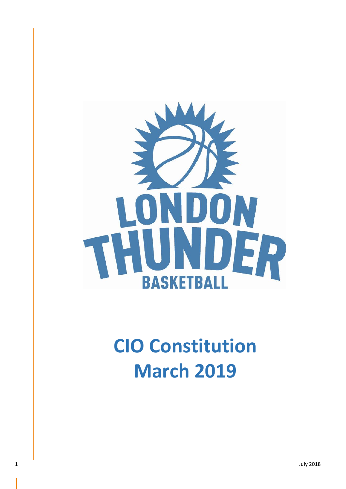

# **CIO Constitution March 2019**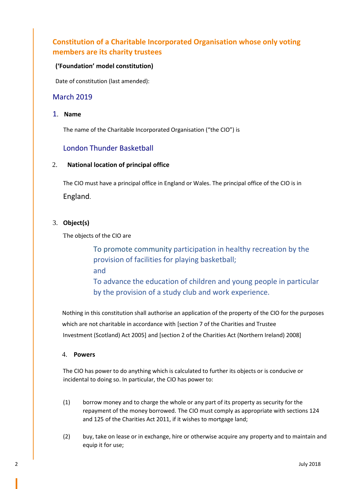# **Constitution of a Charitable Incorporated Organisation whose only voting members are its charity trustees**

#### **('Foundation' model constitution)**

Date of constitution (last amended):

# March 2019

# 1. **Name**

The name of the Charitable Incorporated Organisation ("the CIO") is

# London Thunder Basketball

# 2. **National location of principal office**

The CIO must have a principal office in England or Wales. The principal office of the CIO is in England.

# 3. **Object(s)**

The objects of the CIO are

To promote community participation in healthy recreation by the provision of facilities for playing basketball; and To advance the education of children and young people in particular by the provision of a study club and work experience.

Nothing in this constitution shall authorise an application of the property of the CIO for the purposes which are not charitable in accordance with [section 7 of the Charities and Trustee Investment (Scotland) Act 2005] and [section 2 of the Charities Act (Northern Ireland) 2008]

#### 4. **Powers**

The CIO has power to do anything which is calculated to further its objects or is conducive or incidental to doing so. In particular, the CIO has power to:

- (1) borrow money and to charge the whole or any part of its property as security for the repayment of the money borrowed. The CIO must comply as appropriate with sections 124 and 125 of the Charities Act 2011, if it wishes to mortgage land;
- (2) buy, take on lease or in exchange, hire or otherwise acquire any property and to maintain and equip it for use;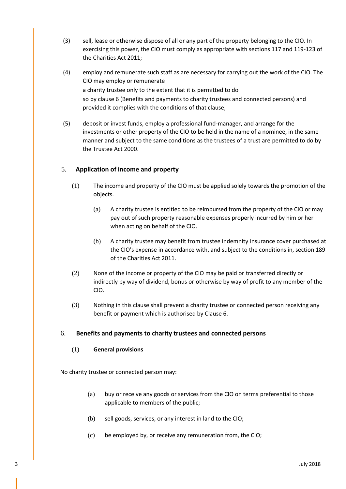- (3) sell, lease or otherwise dispose of all or any part of the property belonging to the CIO. In exercising this power, the CIO must comply as appropriate with sections 117 and 119-123 of the Charities Act 2011;
- (4) employ and remunerate such staff as are necessary for carrying out the work of the CIO. The CIO may employ or remunerate a charity trustee only to the extent that it is permitted to do so by clause 6 (Benefits and payments to charity trustees and connected persons) and provided it complies with the conditions of that clause;
- (5) deposit or invest funds, employ a professional fund-manager, and arrange for the investments or other property of the CIO to be held in the name of a nominee, in the same manner and subject to the same conditions as the trustees of a trust are permitted to do by the Trustee Act 2000.

# 5. **Application of income and property**

- (1) The income and property of the CIO must be applied solely towards the promotion of the objects.
	- (a) A charity trustee is entitled to be reimbursed from the property of the CIO or may pay out of such property reasonable expenses properly incurred by him or her when acting on behalf of the CIO.
	- (b) A charity trustee may benefit from trustee indemnity insurance cover purchased at the CIO's expense in accordance with, and subject to the conditions in, section 189 of the Charities Act 2011.
- (2) None of the income or property of the CIO may be paid or transferred directly or indirectly by way of dividend, bonus or otherwise by way of profit to any member of the CIO.
- (3) Nothing in this clause shall prevent a charity trustee or connected person receiving any benefit or payment which is authorised by Clause 6.

#### 6. **Benefits and payments to charity trustees and connected persons**

#### (1) **General provisions**

No charity trustee or connected person may:

- (a) buy or receive any goods or services from the CIO on terms preferential to those applicable to members of the public;
- (b) sell goods, services, or any interest in land to the CIO;
- (c) be employed by, or receive any remuneration from, the CIO;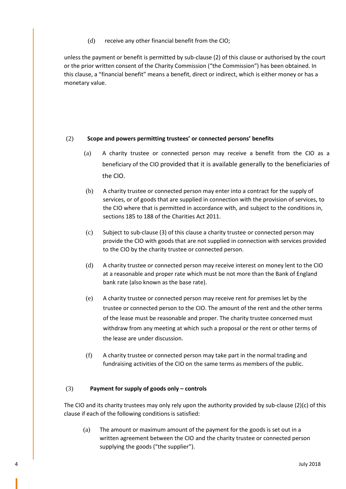(d) receive any other financial benefit from the CIO;

unless the payment or benefit is permitted by sub-clause (2) of this clause or authorised by the court or the prior written consent of the Charity Commission ("the Commission") has been obtained. In this clause, a "financial benefit" means a benefit, direct or indirect, which is either money or has a monetary value.

#### (2) **Scope and powers permitting trustees' or connected persons' benefits**

- (a) A charity trustee or connected person may receive a benefit from the CIO as a beneficiary of the CIO provided that it is available generally to the beneficiaries of the CIO.
- (b) A charity trustee or connected person may enter into a contract for the supply of services, or of goods that are supplied in connection with the provision of services, to the CIO where that is permitted in accordance with, and subject to the conditions in, sections 185 to 188 of the Charities Act 2011.
- (c) Subject to sub-clause (3) of this clause a charity trustee or connected person may provide the CIO with goods that are not supplied in connection with services provided to the CIO by the charity trustee or connected person.
- (d) A charity trustee or connected person may receive interest on money lent to the CIO at a reasonable and proper rate which must be not more than the Bank of England bank rate (also known as the base rate).
- (e) A charity trustee or connected person may receive rent for premises let by the trustee or connected person to the CIO. The amount of the rent and the other terms of the lease must be reasonable and proper. The charity trustee concerned must withdraw from any meeting at which such a proposal or the rent or other terms of the lease are under discussion.
- (f) A charity trustee or connected person may take part in the normal trading and fundraising activities of the CIO on the same terms as members of the public.

#### (3) **Payment for supply of goods only – controls**

The CIO and its charity trustees may only rely upon the authority provided by sub-clause (2)(c) of this clause if each of the following conditions is satisfied:

(a) The amount or maximum amount of the payment for the goods is set out in a written agreement between the CIO and the charity trustee or connected person supplying the goods ("the supplier").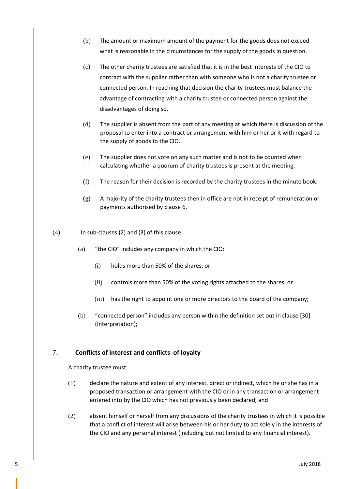- (b) The amount or maximum amount of the payment for the goods does not exceed what is reasonable in the circumstances for the supply of the goods in question.
- (c) The other charity trustees are satisfied that it is in the best interests of the CIO to contract with the supplier rather than with someone who is not a charity trustee or connected person. In reaching that decision the charity trustees must balance the advantage of contracting with a charity trustee or connected person against the disadvantages of doing so.
- (d) The supplier is absent from the part of any meeting at which there is discussion of the proposal to enter into a contract or arrangement with him or her or it with regard to the supply of goods to the CIO.
- (e) The supplier does not vote on any such matter and is not to be counted when calculating whether a quorum of charity trustees is present at the meeting.
- (f) The reason for their decision is recorded by the charity trustees in the minute book.
- (g) A majority of the charity trustees then in office are not in receipt of remuneration or payments authorised by clause 6.
- (4) In sub-clauses (2) and (3) of this clause:
	- (a) "the CIO" includes any company in which the CIO:
		- (i) holds more than 50% of the shares; or
		- (ii) controls more than 50% of the voting rights attached to the shares; or
		- (iii) has the right to appoint one or more directors to the board of the company;
	- (b) "connected person" includes any person within the definition set out in clause [30] (Interpretation);

#### 7. **Conflicts of interest and conflicts of loyalty**

A charity trustee must:

- (1) declare the nature and extent of any interest, direct or indirect, which he or she has in a proposed transaction or arrangement with the CIO or in any transaction or arrangement entered into by the CIO which has not previously been declared; and
- (2) absent himself or herself from any discussions of the charity trustees in which it is possible that a conflict of interest will arise between his or her duty to act solely in the interests of the CIO and any personal interest (including but not limited to any financial interest).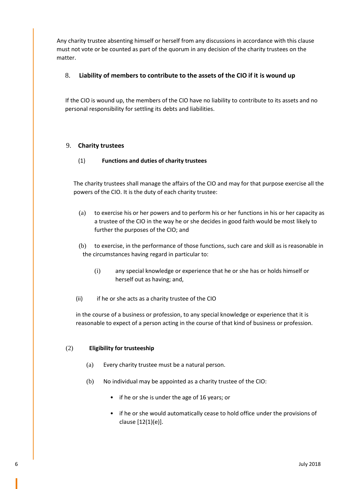Any charity trustee absenting himself or herself from any discussions in accordance with this clause must not vote or be counted as part of the quorum in any decision of the charity trustees on the matter.

#### 8. **Liability of members to contribute to the assets of the CIO if it is wound up**

If the CIO is wound up, the members of the CIO have no liability to contribute to its assets and no personal responsibility for settling its debts and liabilities.

# 9. **Charity trustees**

#### (1) **Functions and duties of charity trustees**

The charity trustees shall manage the affairs of the CIO and may for that purpose exercise all the powers of the CIO. It is the duty of each charity trustee:

- (a) to exercise his or her powers and to perform his or her functions in his or her capacity as a trustee of the CIO in the way he or she decides in good faith would be most likely to further the purposes of the CIO; and
- (b) to exercise, in the performance of those functions, such care and skill as is reasonable in the circumstances having regard in particular to:
	- (i) any special knowledge or experience that he or she has or holds himself or herself out as having; and,
- (ii) if he or she acts as a charity trustee of the CIO

in the course of a business or profession, to any special knowledge or experience that it is reasonable to expect of a person acting in the course of that kind of business or profession.

#### (2) **Eligibility for trusteeship**

- (a) Every charity trustee must be a natural person.
- (b) No individual may be appointed as a charity trustee of the CIO:
	- if he or she is under the age of 16 years; or
	- if he or she would automatically cease to hold office under the provisions of clause [12(1)(e)].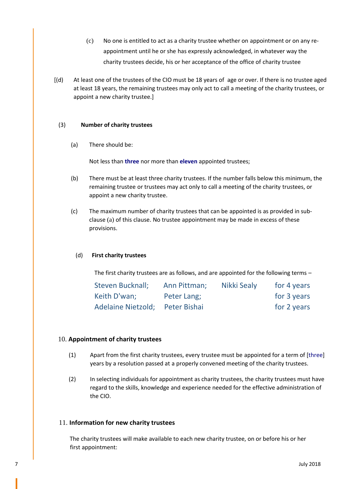- (c) No one is entitled to act as a charity trustee whether on appointment or on any reappointment until he or she has expressly acknowledged, in whatever way the charity trustees decide, his or her acceptance of the office of charity trustee
- [(d) At least one of the trustees of the CIO must be 18 years of age or over. If there is no trustee aged at least 18 years, the remaining trustees may only act to call a meeting of the charity trustees, or appoint a new charity trustee.]

#### (3) **Number of charity trustees**

(a) There should be:

Not less than **three** nor more than **eleven** appointed trustees;

- (b) There must be at least three charity trustees. If the number falls below this minimum, the remaining trustee or trustees may act only to call a meeting of the charity trustees, or appoint a new charity trustee.
- (c) The maximum number of charity trustees that can be appointed is as provided in subclause (a) of this clause. No trustee appointment may be made in excess of these provisions.

#### (d) **First charity trustees**

The first charity trustees are as follows, and are appointed for the following terms –

| Steven Bucknall;                | Ann Pittman; | Nikki Sealy | for 4 years |
|---------------------------------|--------------|-------------|-------------|
| Keith D'wan;                    | Peter Lang;  |             | for 3 years |
| Adelaine Nietzold; Peter Bishai |              |             | for 2 years |

#### 10. **Appointment of charity trustees**

- (1) Apart from the first charity trustees, every trustee must be appointed for a term of [three] years by a resolution passed at a properly convened meeting of the charity trustees.
- (2) In selecting individuals for appointment as charity trustees, the charity trustees must have regard to the skills, knowledge and experience needed for the effective administration of the CIO.

#### 11. **Information for new charity trustees**

The charity trustees will make available to each new charity trustee, on or before his or her first appointment: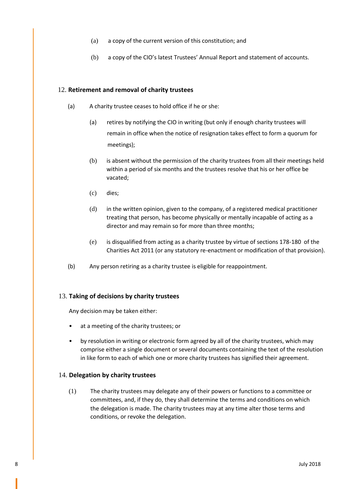- (a) a copy of the current version of this constitution; and
- (b) a copy of the CIO's latest Trustees' Annual Report and statement of accounts.

#### 12. **Retirement and removal of charity trustees**

- (a) A charity trustee ceases to hold office if he or she:
	- (a) retires by notifying the CIO in writing (but only if enough charity trustees will remain in office when the notice of resignation takes effect to form a quorum for meetings);
	- (b) is absent without the permission of the charity trustees from all their meetings held within a period of six months and the trustees resolve that his or her office be vacated;
	- (c) dies;
	- (d) in the written opinion, given to the company, of a registered medical practitioner treating that person, has become physically or mentally incapable of acting as a director and may remain so for more than three months;
	- (e) is disqualified from acting as a charity trustee by virtue of sections 178-180 of the Charities Act 2011 (or any statutory re-enactment or modification of that provision).
- (b) Any person retiring as a charity trustee is eligible for reappointment.

#### 13. **Taking of decisions by charity trustees**

Any decision may be taken either:

- at a meeting of the charity trustees; or
- by resolution in writing or electronic form agreed by all of the charity trustees, which may comprise either a single document or several documents containing the text of the resolution in like form to each of which one or more charity trustees has signified their agreement.

#### 14. **Delegation by charity trustees**

(1) The charity trustees may delegate any of their powers or functions to a committee or committees, and, if they do, they shall determine the terms and conditions on which the delegation is made. The charity trustees may at any time alter those terms and conditions, or revoke the delegation.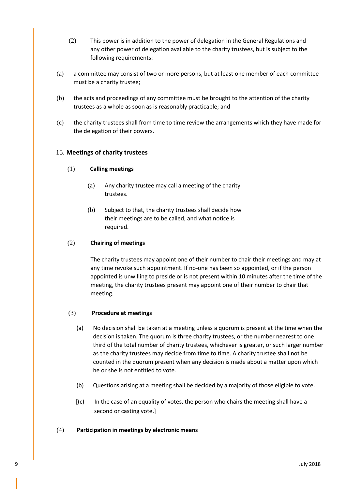- (2) This power is in addition to the power of delegation in the General Regulations and any other power of delegation available to the charity trustees, but is subject to the following requirements:
- (a) a committee may consist of two or more persons, but at least one member of each committee must be a charity trustee;
- (b) the acts and proceedings of any committee must be brought to the attention of the charity trustees as a whole as soon as is reasonably practicable; and
- (c) the charity trustees shall from time to time review the arrangements which they have made for the delegation of their powers.

#### 15. **Meetings of charity trustees**

#### (1) **Calling meetings**

- (a) Any charity trustee may call a meeting of the charity trustees.
- (b) Subject to that, the charity trustees shall decide how their meetings are to be called, and what notice is required.

#### (2) **Chairing of meetings**

The charity trustees may appoint one of their number to chair their meetings and may at any time revoke such appointment. If no-one has been so appointed, or if the person appointed is unwilling to preside or is not present within 10 minutes after the time of the meeting, the charity trustees present may appoint one of their number to chair that meeting.

#### (3) **Procedure at meetings**

- (a) No decision shall be taken at a meeting unless a quorum is present at the time when the decision is taken. The quorum is three charity trustees, or the number nearest to one third of the total number of charity trustees, whichever is greater, or such larger number as the charity trustees may decide from time to time. A charity trustee shall not be counted in the quorum present when any decision is made about a matter upon which he or she is not entitled to vote.
- (b) Questions arising at a meeting shall be decided by a majority of those eligible to vote.
- [(c) In the case of an equality of votes, the person who chairs the meeting shall have a second or casting vote.]

#### (4) **Participation in meetings by electronic means**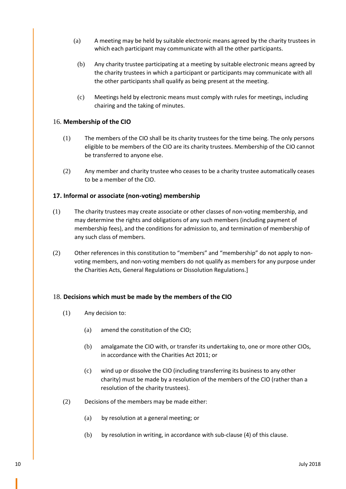- (a) A meeting may be held by suitable electronic means agreed by the charity trustees in which each participant may communicate with all the other participants.
	- (b) Any charity trustee participating at a meeting by suitable electronic means agreed by the charity trustees in which a participant or participants may communicate with all the other participants shall qualify as being present at the meeting.
	- (c) Meetings held by electronic means must comply with rules for meetings, including chairing and the taking of minutes.

#### 16. **Membership of the CIO**

- (1) The members of the CIO shall be its charity trustees for the time being. The only persons eligible to be members of the CIO are its charity trustees. Membership of the CIO cannot be transferred to anyone else.
- (2) Any member and charity trustee who ceases to be a charity trustee automatically ceases to be a member of the CIO.

#### **17. Informal or associate (non-voting) membership**

- (1) The charity trustees may create associate or other classes of non-voting membership, and may determine the rights and obligations of any such members (including payment of membership fees), and the conditions for admission to, and termination of membership of any such class of members.
- (2) Other references in this constitution to "members" and "membership" do not apply to nonvoting members, and non-voting members do not qualify as members for any purpose under the Charities Acts, General Regulations or Dissolution Regulations.]

#### 18. **Decisions which must be made by the members of the CIO**

- (1) Any decision to:
	- (a) amend the constitution of the CIO;
	- (b) amalgamate the CIO with, or transfer its undertaking to, one or more other CIOs, in accordance with the Charities Act 2011; or
	- (c) wind up or dissolve the CIO (including transferring its business to any other charity) must be made by a resolution of the members of the CIO (rather than a resolution of the charity trustees).
- (2) Decisions of the members may be made either:
	- (a) by resolution at a general meeting; or
	- (b) by resolution in writing, in accordance with sub-clause (4) of this clause.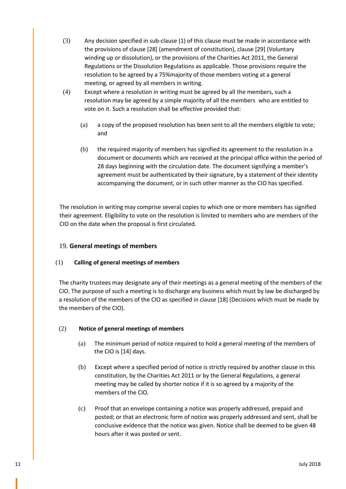- (3) Any decision specified in sub-clause (1) of this clause must be made in accordance with the provisions of clause [28] (amendment of constitution), clause [29] (Voluntary winding up or dissolution), or the provisions of the Charities Act 2011, the General Regulations or the Dissolution Regulations as applicable. Those provisions require the resolution to be agreed by a 75%majority of those members voting at a general meeting, or agreed by all members in writing.
- (4) Except where a resolution in writing must be agreed by all the members, such a resolution may be agreed by a simple majority of all the members who are entitled to vote on it. Such a resolution shall be effective provided that:
	- (a) a copy of the proposed resolution has been sent to all the members eligible to vote; and
	- (b) the required majority of members has signified its agreement to the resolution in a document or documents which are received at the principal office within the period of 28 days beginning with the circulation date. The document signifying a member's agreement must be authenticated by their signature, by a statement of their identity accompanying the document, or in such other manner as the CIO has specified.

The resolution in writing may comprise several copies to which one or more members has signified their agreement. Eligibility to vote on the resolution is limited to members who are members of the CIO on the date when the proposal is first circulated.

# 19. **General meetings of members**

#### (1) **Calling of general meetings of members**

The charity trustees may designate any of their meetings as a general meeting of the members of the CIO. The purpose of such a meeting is to discharge any business which must by law be discharged by a resolution of the members of the CIO as specified in clause [18] (Decisions which must be made by the members of the CIO).

#### (2) **Notice of general meetings of members**

- (a) The minimum period of notice required to hold a general meeting of the members of the CIO is [14] days.
- (b) Except where a specified period of notice is strictly required by another clause in this constitution, by the Charities Act 2011 or by the General Regulations, a general meeting may be called by shorter notice if it is so agreed by a majority of the members of the CIO.
- (c) Proof that an envelope containing a notice was properly addressed, prepaid and posted; or that an electronic form of notice was properly addressed and sent, shall be conclusive evidence that the notice was given. Notice shall be deemed to be given 48 hours after it was posted or sent.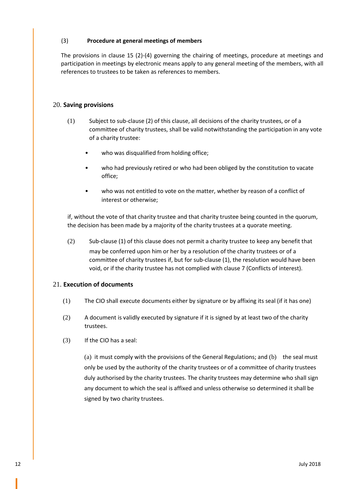#### (3) **Procedure at general meetings of members**

The provisions in clause 15 (2)-(4) governing the chairing of meetings, procedure at meetings and participation in meetings by electronic means apply to any general meeting of the members, with all references to trustees to be taken as references to members.

#### 20. **Saving provisions**

- (1) Subject to sub-clause (2) of this clause, all decisions of the charity trustees, or of a committee of charity trustees, shall be valid notwithstanding the participation in any vote of a charity trustee:
	- who was disqualified from holding office;
	- who had previously retired or who had been obliged by the constitution to vacate office;
	- who was not entitled to vote on the matter, whether by reason of a conflict of interest or otherwise;

if, without the vote of that charity trustee and that charity trustee being counted in the quorum, the decision has been made by a majority of the charity trustees at a quorate meeting.

(2) Sub-clause (1) of this clause does not permit a charity trustee to keep any benefit that may be conferred upon him or her by a resolution of the charity trustees or of a committee of charity trustees if, but for sub-clause (1), the resolution would have been void, or if the charity trustee has not complied with clause 7 (Conflicts of interest).

#### 21. **Execution of documents**

- (1) The CIO shall execute documents either by signature or by affixing its seal (if it has one)
- (2) A document is validly executed by signature if it is signed by at least two of the charity trustees.
- (3) If the CIO has a seal:

(a) it must comply with the provisions of the General Regulations; and (b) the seal must only be used by the authority of the charity trustees or of a committee of charity trustees duly authorised by the charity trustees. The charity trustees may determine who shall sign any document to which the seal is affixed and unless otherwise so determined it shall be signed by two charity trustees.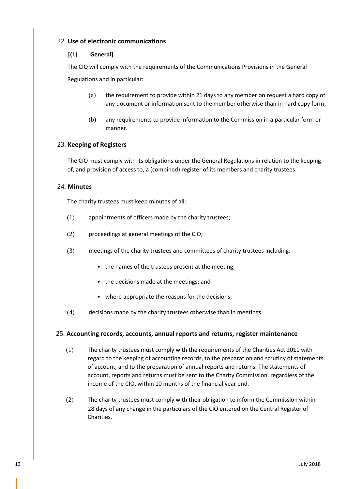#### 22. **Use of electronic communications**

#### **[(1) General]**

The CIO will comply with the requirements of the Communications Provisions in the General

Regulations and in particular:

- (a) the requirement to provide within 21 days to any member on request a hard copy of any document or information sent to the member otherwise than in hard copy form;
- (b) any requirements to provide information to the Commission in a particular form or manner.

# 23. **Keeping of Registers**

The CIO must comply with its obligations under the General Regulations in relation to the keeping of, and provision of access to, a (combined) register of its members and charity trustees.

#### 24. **Minutes**

The charity trustees must keep minutes of all:

- (1) appointments of officers made by the charity trustees;
- (2) proceedings at general meetings of the CIO;
- (3) meetings of the charity trustees and committees of charity trustees including:
	- the names of the trustees present at the meeting;
	- the decisions made at the meetings; and
	- where appropriate the reasons for the decisions;
- (4) decisions made by the charity trustees otherwise than in meetings.

#### 25. **Accounting records, accounts, annual reports and returns, register maintenance**

- (1) The charity trustees must comply with the requirements of the Charities Act 2011 with regard to the keeping of accounting records, to the preparation and scrutiny of statements of account, and to the preparation of annual reports and returns. The statements of account, reports and returns must be sent to the Charity Commission, regardless of the income of the CIO, within 10 months of the financial year end.
- (2) The charity trustees must comply with their obligation to inform the Commission within 28 days of any change in the particulars of the CIO entered on the Central Register of Charities.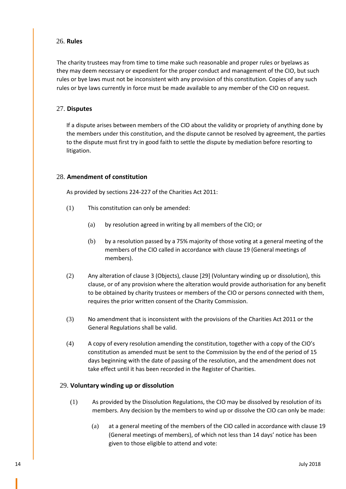# 26. **Rules**

The charity trustees may from time to time make such reasonable and proper rules or byelaws as they may deem necessary or expedient for the proper conduct and management of the CIO, but such rules or bye laws must not be inconsistent with any provision of this constitution. Copies of any such rules or bye laws currently in force must be made available to any member of the CIO on request.

# 27. **Disputes**

If a dispute arises between members of the CIO about the validity or propriety of anything done by the members under this constitution, and the dispute cannot be resolved by agreement, the parties to the dispute must first try in good faith to settle the dispute by mediation before resorting to litigation.

#### 28. **Amendment of constitution**

As provided by sections 224-227 of the Charities Act 2011:

- (1) This constitution can only be amended:
	- (a) by resolution agreed in writing by all members of the CIO; or
	- (b) by a resolution passed by a 75% majority of those voting at a general meeting of the members of the CIO called in accordance with clause 19 (General meetings of members).
- (2) Any alteration of clause 3 (Objects), clause [29] (Voluntary winding up or dissolution), this clause, or of any provision where the alteration would provide authorisation for any benefit to be obtained by charity trustees or members of the CIO or persons connected with them, requires the prior written consent of the Charity Commission.
- (3) No amendment that is inconsistent with the provisions of the Charities Act 2011 or the General Regulations shall be valid.
- (4) A copy of every resolution amending the constitution, together with a copy of the CIO's constitution as amended must be sent to the Commission by the end of the period of 15 days beginning with the date of passing of the resolution, and the amendment does not take effect until it has been recorded in the Register of Charities.

#### 29. **Voluntary winding up or dissolution**

- (1) As provided by the Dissolution Regulations, the CIO may be dissolved by resolution of its members. Any decision by the members to wind up or dissolve the CIO can only be made:
	- (a) at a general meeting of the members of the CIO called in accordance with clause 19 (General meetings of members), of which not less than 14 days' notice has been given to those eligible to attend and vote: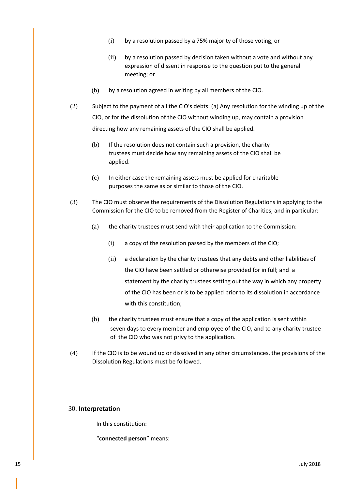- (i) by a resolution passed by a 75% majority of those voting, or
- (ii) by a resolution passed by decision taken without a vote and without any expression of dissent in response to the question put to the general meeting; or
- (b) by a resolution agreed in writing by all members of the CIO.
- (2) Subject to the payment of all the CIO's debts: (a) Any resolution for the winding up of the CIO, or for the dissolution of the CIO without winding up, may contain a provision directing how any remaining assets of the CIO shall be applied.
	- (b) If the resolution does not contain such a provision, the charity trustees must decide how any remaining assets of the CIO shall be applied.
	- (c) In either case the remaining assets must be applied for charitable purposes the same as or similar to those of the CIO.
- (3) The CIO must observe the requirements of the Dissolution Regulations in applying to the Commission for the CIO to be removed from the Register of Charities, and in particular:
	- (a) the charity trustees must send with their application to the Commission:
		- (i) a copy of the resolution passed by the members of the CIO;
		- (ii) a declaration by the charity trustees that any debts and other liabilities of the CIO have been settled or otherwise provided for in full; and a statement by the charity trustees setting out the way in which any property of the CIO has been or is to be applied prior to its dissolution in accordance with this constitution;
	- (b) the charity trustees must ensure that a copy of the application is sent within seven days to every member and employee of the CIO, and to any charity trustee of the CIO who was not privy to the application.
- (4) If the CIO is to be wound up or dissolved in any other circumstances, the provisions of the Dissolution Regulations must be followed.

#### 30. **Interpretation**

In this constitution:

"**connected person**" means: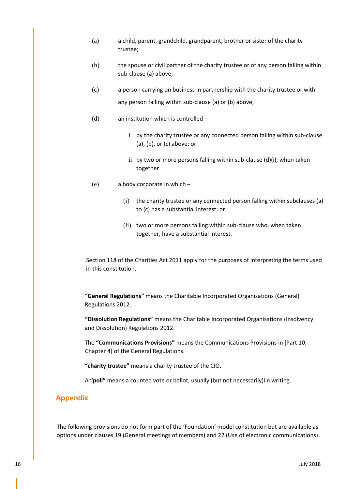- (a) a child, parent, grandchild, grandparent, brother or sister of the charity trustee;
- (b) the spouse or civil partner of the charity trustee or of any person falling within sub-clause (a) above;
- (c) a person carrying on business in partnership with the charity trustee or with any person falling within sub-clause (a) or (b) above;
- (d) an institution which is controlled
	- i by the charity trustee or any connected person falling within sub-clause (a), (b), or (c) above; or
	- ii by two or more persons falling within sub-clause (d)(i), when taken together
- (e) a body corporate in which
	- (i) the charity trustee or any connected person falling within subclauses (a) to (c) has a substantial interest; or
	- (ii) two or more persons falling within sub-clause who, when taken together, have a substantial interest.

Section 118 of the Charities Act 2011 apply for the purposes of interpreting the terms used in this constitution.

**"General Regulations"** means the Charitable Incorporated Organisations (General) Regulations 2012.

**"Dissolution Regulations"** means the Charitable Incorporated Organisations (Insolvency and Dissolution) Regulations 2012.

The **"Communications Provisions"** means the Communications Provisions in [Part 10, Chapter 4] of the General Regulations.

**"charity trustee"** means a charity trustee of the CIO.

A **"poll"** means a counted vote or ballot, usually (but not necessarily)i n writing.

# **Appendix**

The following provisions do not form part of the 'Foundation' model constitution but are available as options under clauses 19 (General meetings of members) and 22 (Use of electronic communications).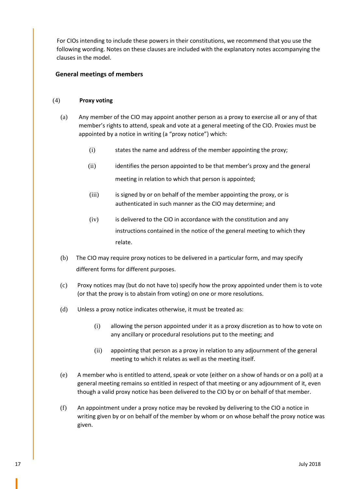For CIOs intending to include these powers in their constitutions, we recommend that you use the following wording. Notes on these clauses are included with the explanatory notes accompanying the clauses in the model.

#### **General meetings of members**

#### (4) **Proxy voting**

- (a) Any member of the CIO may appoint another person as a proxy to exercise all or any of that member's rights to attend, speak and vote at a general meeting of the CIO. Proxies must be appointed by a notice in writing (a "proxy notice") which:
	- (i) states the name and address of the member appointing the proxy;
	- (ii) identifies the person appointed to be that member's proxy and the general meeting in relation to which that person is appointed;
	- (iii) is signed by or on behalf of the member appointing the proxy, or is authenticated in such manner as the CIO may determine; and
	- (iv) is delivered to the CIO in accordance with the constitution and any instructions contained in the notice of the general meeting to which they relate.
- (b) The CIO may require proxy notices to be delivered in a particular form, and may specify different forms for different purposes.
- (c) Proxy notices may (but do not have to) specify how the proxy appointed under them is to vote (or that the proxy is to abstain from voting) on one or more resolutions.
- (d) Unless a proxy notice indicates otherwise, it must be treated as:
	- (i) allowing the person appointed under it as a proxy discretion as to how to vote on any ancillary or procedural resolutions put to the meeting; and
	- (ii) appointing that person as a proxy in relation to any adjournment of the general meeting to which it relates as well as the meeting itself.
- (e) A member who is entitled to attend, speak or vote (either on a show of hands or on a poll) at a general meeting remains so entitled in respect of that meeting or any adjournment of it, even though a valid proxy notice has been delivered to the CIO by or on behalf of that member.
- (f) An appointment under a proxy notice may be revoked by delivering to the CIO a notice in writing given by or on behalf of the member by whom or on whose behalf the proxy notice was given.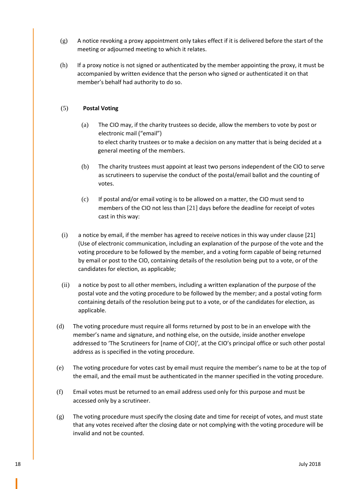- $(g)$  A notice revoking a proxy appointment only takes effect if it is delivered before the start of the meeting or adjourned meeting to which it relates.
- (h) If a proxy notice is not signed or authenticated by the member appointing the proxy, it must be accompanied by written evidence that the person who signed or authenticated it on that member's behalf had authority to do so.

#### (5) **Postal Voting**

- (a) The CIO may, if the charity trustees so decide, allow the members to vote by post or electronic mail ("email") to elect charity trustees or to make a decision on any matter that is being decided at a general meeting of the members.
- (b) The charity trustees must appoint at least two persons independent of the CIO to serve as scrutineers to supervise the conduct of the postal/email ballot and the counting of votes.
- (c) If postal and/or email voting is to be allowed on a matter, the CIO must send to members of the CIO not less than [21] days before the deadline for receipt of votes cast in this way:
- (i) a notice by email, if the member has agreed to receive notices in this way under clause [21] (Use of electronic communication, including an explanation of the purpose of the vote and the voting procedure to be followed by the member, and a voting form capable of being returned by email or post to the CIO, containing details of the resolution being put to a vote, or of the candidates for election, as applicable;
- (ii) a notice by post to all other members, including a written explanation of the purpose of the postal vote and the voting procedure to be followed by the member; and a postal voting form containing details of the resolution being put to a vote, or of the candidates for election, as applicable.
- (d) The voting procedure must require all forms returned by post to be in an envelope with the member's name and signature, and nothing else, on the outside, inside another envelope addressed to 'The Scrutineers for [name of CIO]', at the CIO's principal office or such other postal address as is specified in the voting procedure.
- (e) The voting procedure for votes cast by email must require the member's name to be at the top of the email, and the email must be authenticated in the manner specified in the voting procedure.
- (f) Email votes must be returned to an email address used only for this purpose and must be accessed only by a scrutineer.
- $(g)$  The voting procedure must specify the closing date and time for receipt of votes, and must state that any votes received after the closing date or not complying with the voting procedure will be invalid and not be counted.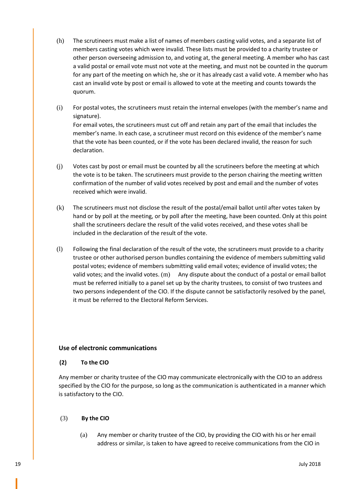- (h) The scrutineers must make a list of names of members casting valid votes, and a separate list of members casting votes which were invalid. These lists must be provided to a charity trustee or other person overseeing admission to, and voting at, the general meeting. A member who has cast a valid postal or email vote must not vote at the meeting, and must not be counted in the quorum for any part of the meeting on which he, she or it has already cast a valid vote. A member who has cast an invalid vote by post or email is allowed to vote at the meeting and counts towards the quorum.
- (i) For postal votes, the scrutineers must retain the internal envelopes (with the member's name and signature).

For email votes, the scrutineers must cut off and retain any part of the email that includes the member's name. In each case, a scrutineer must record on this evidence of the member's name that the vote has been counted, or if the vote has been declared invalid, the reason for such declaration.

- (j) Votes cast by post or email must be counted by all the scrutineers before the meeting at which the vote is to be taken. The scrutineers must provide to the person chairing the meeting written confirmation of the number of valid votes received by post and email and the number of votes received which were invalid.
- (k) The scrutineers must not disclose the result of the postal/email ballot until after votes taken by hand or by poll at the meeting, or by poll after the meeting, have been counted. Only at this point shall the scrutineers declare the result of the valid votes received, and these votes shall be included in the declaration of the result of the vote.
- (l) Following the final declaration of the result of the vote, the scrutineers must provide to a charity trustee or other authorised person bundles containing the evidence of members submitting valid postal votes; evidence of members submitting valid email votes; evidence of invalid votes; the valid votes; and the invalid votes. (m) Any dispute about the conduct of a postal or email ballot must be referred initially to a panel set up by the charity trustees, to consist of two trustees and two persons independent of the CIO. If the dispute cannot be satisfactorily resolved by the panel, it must be referred to the Electoral Reform Services.

#### **Use of electronic communications**

#### **(2) To the CIO**

Any member or charity trustee of the CIO may communicate electronically with the CIO to an address specified by the CIO for the purpose, so long as the communication is authenticated in a manner which is satisfactory to the CIO.

#### (3) **By the CIO**

(a) Any member or charity trustee of the CIO, by providing the CIO with his or her email address or similar, is taken to have agreed to receive communications from the CIO in